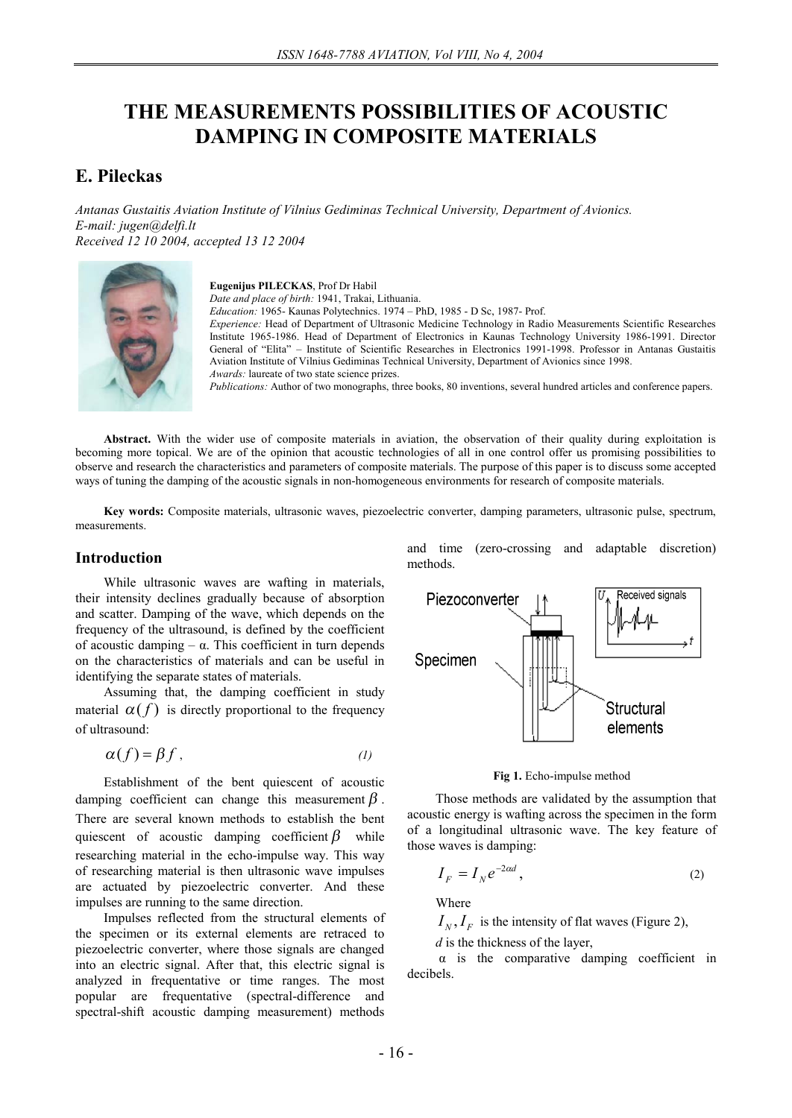# **THE MEASUREMENTS POSSIBILITIES OF ACOUSTIC DAMPING IN COMPOSITE MATERIALS**

## **E. Pileckas**

*Antanas Gustaitis Aviation Institute of Vilnius Gediminas Technical University, Department of Avionics. E-mail: jugen@delfi.lt Received 12 10 2004, accepted 13 12 2004* 



**Eugenijus PILECKAS**, Prof Dr Habil *Date and place of birth:* 1941, Trakai, Lithuania. *Education:* 1965- Kaunas Polytechnics. 1974 – PhD, 1985 - D Sc, 1987- Prof. *Experience:* Head of Department of Ultrasonic Medicine Technology in Radio Measurements Scientific Researches Institute 1965-1986. Head of Department of Electronics in Kaunas Technology University 1986-1991. Director General of "Elita" – Institute of Scientific Researches in Electronics 1991-1998. Professor in Antanas Gustaitis Aviation Institute of Vilnius Gediminas Technical University, Department of Avionics since 1998. *Awards:* laureate of two state science prizes.

*Publications:* Author of two monographs, three books, 80 inventions, several hundred articles and conference papers.

**Abstract.** With the wider use of composite materials in aviation, the observation of their quality during exploitation is becoming more topical. We are of the opinion that acoustic technologies of all in one control offer us promising possibilities to observe and research the characteristics and parameters of composite materials. The purpose of this paper is to discuss some accepted ways of tuning the damping of the acoustic signals in non-homogeneous environments for research of composite materials.

**Key words:** Composite materials, ultrasonic waves, piezoelectric converter, damping parameters, ultrasonic pulse, spectrum, measurements.

## **Introduction**

While ultrasonic waves are wafting in materials, their intensity declines gradually because of absorption and scatter. Damping of the wave, which depends on the frequency of the ultrasound, is defined by the coefficient of acoustic damping – α. This coefficient in turn depends on the characteristics of materials and can be useful in identifying the separate states of materials.

Assuming that, the damping coefficient in study material  $\alpha(f)$  is directly proportional to the frequency of ultrasound:

$$
\alpha(f) = \beta f \tag{1}
$$

Establishment of the bent quiescent of acoustic damping coefficient can change this measurement  $\beta$ . There are several known methods to establish the bent quiescent of acoustic damping coefficient  $\beta$  while researching material in the echo-impulse way. This way of researching material is then ultrasonic wave impulses are actuated by piezoelectric converter. And these impulses are running to the same direction.

Impulses reflected from the structural elements of the specimen or its external elements are retraced to piezoelectric converter, where those signals are changed into an electric signal. After that, this electric signal is analyzed in frequentative or time ranges. The most popular are frequentative (spectral-difference and spectral-shift acoustic damping measurement) methods

and time (zero-crossing and adaptable discretion) methods.



**Fig 1.** Echo-impulse method

Those methods are validated by the assumption that acoustic energy is wafting across the specimen in the form of a longitudinal ultrasonic wave. The key feature of those waves is damping:

$$
I_F = I_N e^{-2\alpha d},\tag{2}
$$

Where

 $I_N$ ,  $I_F$  is the intensity of flat waves (Figure 2),

*d* is the thickness of the layer,

α is the comparative damping coefficient in decibels.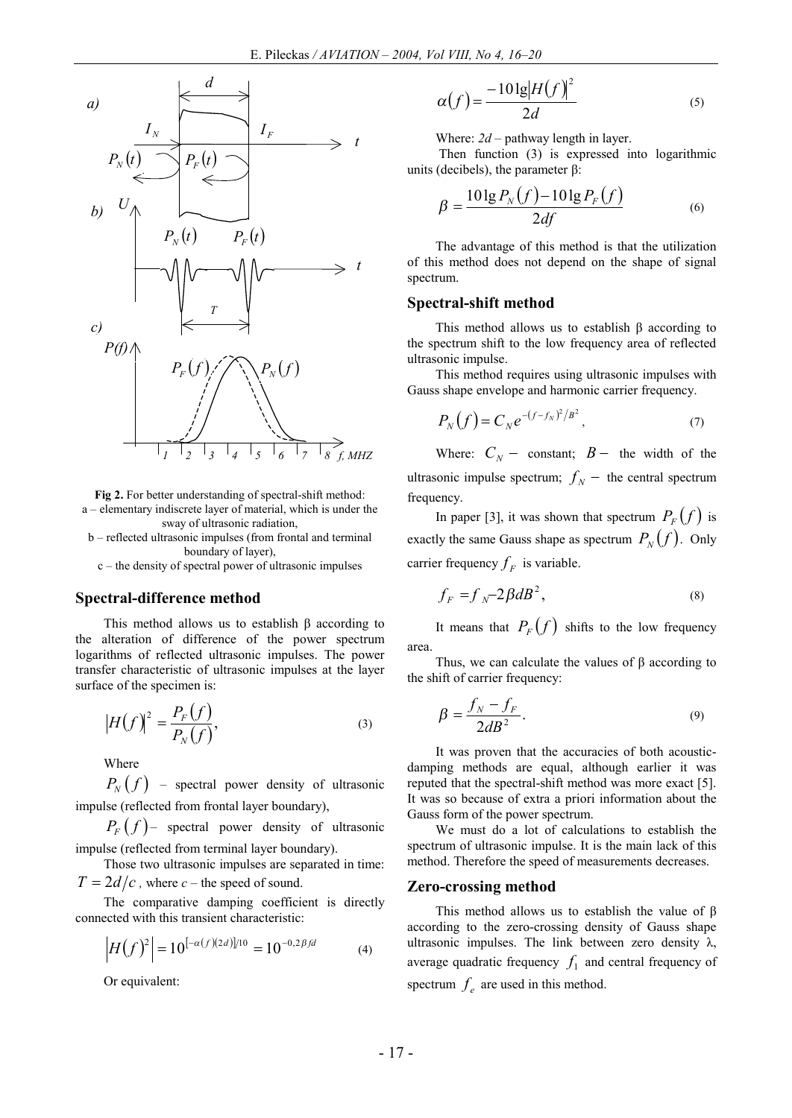

**Fig 2.** For better understanding of spectral-shift method: a – elementary indiscrete layer of material, which is under the sway of ultrasonic radiation,

b – reflected ultrasonic impulses (from frontal and terminal boundary of layer),

c – the density of spectral power of ultrasonic impulses

### **Spectral-difference method**

This method allows us to establish  $β$  according to the alteration of difference of the power spectrum logarithms of reflected ultrasonic impulses. The power transfer characteristic of ultrasonic impulses at the layer surface of the specimen is:

$$
\left|H(f)\right|^2 = \frac{P_F(f)}{P_N(f)},\tag{3}
$$

Where

 $P_{N}(f)$  – spectral power density of ultrasonic impulse (reflected from frontal layer boundary),

 $P_F(f)$  – spectral power density of ultrasonic impulse (reflected from terminal layer boundary).

Those two ultrasonic impulses are separated in time:  $T = 2d/c$ , where  $c$  – the speed of sound.

The comparative damping coefficient is directly connected with this transient characteristic:

$$
\left|H(f)^{2}\right| = 10^{[-\alpha(f)(2d)]/10} = 10^{-0.2\beta fd} \tag{4}
$$

Or equivalent:

$$
\alpha(f) = \frac{-10\lg[H(f)]^2}{2d} \tag{5}
$$

Where:  $2d$  – pathway length in layer.

Then function (3) is expressed into logarithmic units (decibels), the parameter β:

$$
\beta = \frac{10 \lg P_N(f) - 10 \lg P_F(f)}{2df} \tag{6}
$$

The advantage of this method is that the utilization of this method does not depend on the shape of signal spectrum.

#### **Spectral-shift method**

This method allows us to establish β according to the spectrum shift to the low frequency area of reflected ultrasonic impulse.

This method requires using ultrasonic impulses with Gauss shape envelope and harmonic carrier frequency.

$$
P_N(f) = C_N e^{-(f - f_N)^2 / B^2}, \tag{7}
$$

Where:  $C_N$  - constant;  $B$  - the width of the ultrasonic impulse spectrum;  $f_N$  - the central spectrum frequency.

In paper [3], it was shown that spectrum  $P_F(f)$  is exactly the same Gauss shape as spectrum  $P_N(f)$ . Only carrier frequency  $f_F$  is variable.

$$
f_F = f_N - 2\beta dB^2, \tag{8}
$$

It means that  $P_F(f)$  shifts to the low frequency area.

Thus, we can calculate the values of  $\beta$  according to the shift of carrier frequency:

$$
\beta = \frac{f_N - f_F}{2dB^2}.
$$
\n(9)

It was proven that the accuracies of both acousticdamping methods are equal, although earlier it was reputed that the spectral-shift method was more exact [5]. It was so because of extra a priori information about the Gauss form of the power spectrum.

We must do a lot of calculations to establish the spectrum of ultrasonic impulse. It is the main lack of this method. Therefore the speed of measurements decreases.

#### **Zero-crossing method**

This method allows us to establish the value of β according to the zero-crossing density of Gauss shape ultrasonic impulses. The link between zero density  $\lambda$ , average quadratic frequency  $f_1$  and central frequency of spectrum  $f_e$  are used in this method.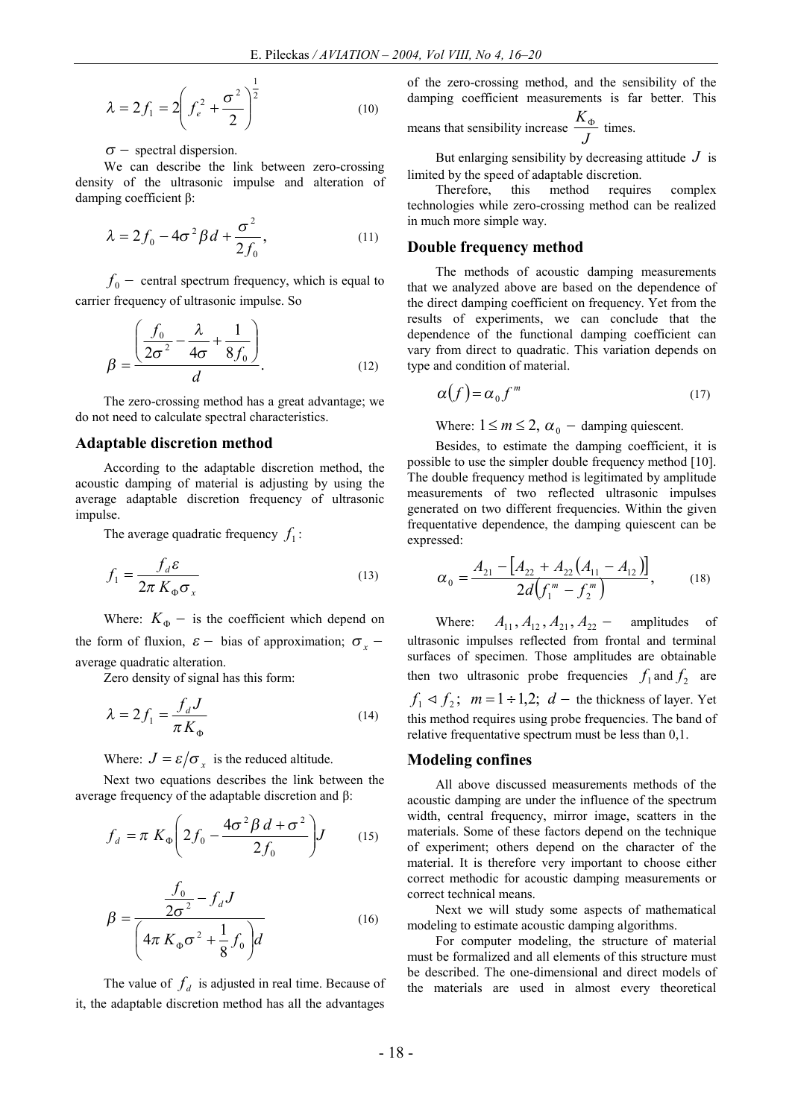$$
\lambda = 2f_1 = 2\left(f_e^2 + \frac{\sigma^2}{2}\right)^{\frac{1}{2}}
$$
 (10)

#### $\sigma$  - spectral dispersion.

We can describe the link between zero-crossing density of the ultrasonic impulse and alteration of damping coefficient β:

$$
\lambda = 2f_0 - 4\sigma^2 \beta d + \frac{\sigma^2}{2f_0},\qquad(11)
$$

 $f_0$  – central spectrum frequency, which is equal to carrier frequency of ultrasonic impulse. So

$$
\beta = \frac{\left(\frac{f_0}{2\sigma^2} - \frac{\lambda}{4\sigma} + \frac{1}{8f_0}\right)}{d}.
$$
\n(12)

The zero-crossing method has a great advantage; we do not need to calculate spectral characteristics.

#### **Adaptable discretion method**

According to the adaptable discretion method, the acoustic damping of material is adjusting by using the average adaptable discretion frequency of ultrasonic impulse.

The average quadratic frequency  $f_1$ :

$$
f_1 = \frac{f_d \varepsilon}{2\pi K_{\Phi} \sigma_x}
$$
 (13)

Where:  $K_{\Phi}$  – is the coefficient which depend on the form of fluxion,  $\varepsilon$  - bias of approximation;  $\sigma_x$  average quadratic alteration.

Zero density of signal has this form:

$$
\lambda = 2f_1 = \frac{f_d J}{\pi K_{\Phi}} \tag{14}
$$

Where:  $J = \varepsilon / \sigma_x$  is the reduced altitude.

Next two equations describes the link between the average frequency of the adaptable discretion and β:

$$
f_d = \pi K_{\Phi} \left( 2f_0 - \frac{4\sigma^2 \beta d + \sigma^2}{2f_0} \right) J \tag{15}
$$

$$
\beta = \frac{\frac{f_0}{2\sigma^2} - f_d J}{\left(4\pi K_{\phi}\sigma^2 + \frac{1}{8}f_0\right) d}
$$
(16)

The value of  $f_d$  is adjusted in real time. Because of it, the adaptable discretion method has all the advantages

of the zero-crossing method, and the sensibility of the damping coefficient measurements is far better. This

means that sensitivity increase 
$$
\frac{K_{\Phi}}{J}
$$
 times.

But enlarging sensibility by decreasing attitude  $J$  is limited by the speed of adaptable discretion.

Therefore, this method requires complex technologies while zero-crossing method can be realized in much more simple way.

#### **Double frequency method**

The methods of acoustic damping measurements that we analyzed above are based on the dependence of the direct damping coefficient on frequency. Yet from the results of experiments, we can conclude that the dependence of the functional damping coefficient can vary from direct to quadratic. This variation depends on type and condition of material.

$$
\alpha(f) = \alpha_0 f^m \tag{17}
$$

Where:  $1 \le m \le 2$ ,  $\alpha_0$  – damping quiescent.

Besides, to estimate the damping coefficient, it is possible to use the simpler double frequency method [10]. The double frequency method is legitimated by amplitude measurements of two reflected ultrasonic impulses generated on two different frequencies. Within the given frequentative dependence, the damping quiescent can be expressed:

$$
\alpha_0 = \frac{A_{21} - [A_{22} + A_{22}(A_{11} - A_{12})]}{2d(f_1^m - f_2^m)},
$$
\n(18)

Where:  $A_{11}$ ,  $A_{12}$ ,  $A_{21}$ ,  $A_{22}$  - amplitudes of ultrasonic impulses reflected from frontal and terminal surfaces of specimen. Those amplitudes are obtainable then two ultrasonic probe frequencies  $f_1$  and  $f_2$  are  $f_1 \triangleleft f_2$ ;  $m = 1 \div 1,2$ ;  $d$  – the thickness of layer. Yet this method requires using probe frequencies. The band of relative frequentative spectrum must be less than 0,1.

#### **Modeling confines**

All above discussed measurements methods of the acoustic damping are under the influence of the spectrum width, central frequency, mirror image, scatters in the materials. Some of these factors depend on the technique of experiment; others depend on the character of the material. It is therefore very important to choose either correct methodic for acoustic damping measurements or correct technical means.

Next we will study some aspects of mathematical modeling to estimate acoustic damping algorithms.

For computer modeling, the structure of material must be formalized and all elements of this structure must be described. The one-dimensional and direct models of the materials are used in almost every theoretical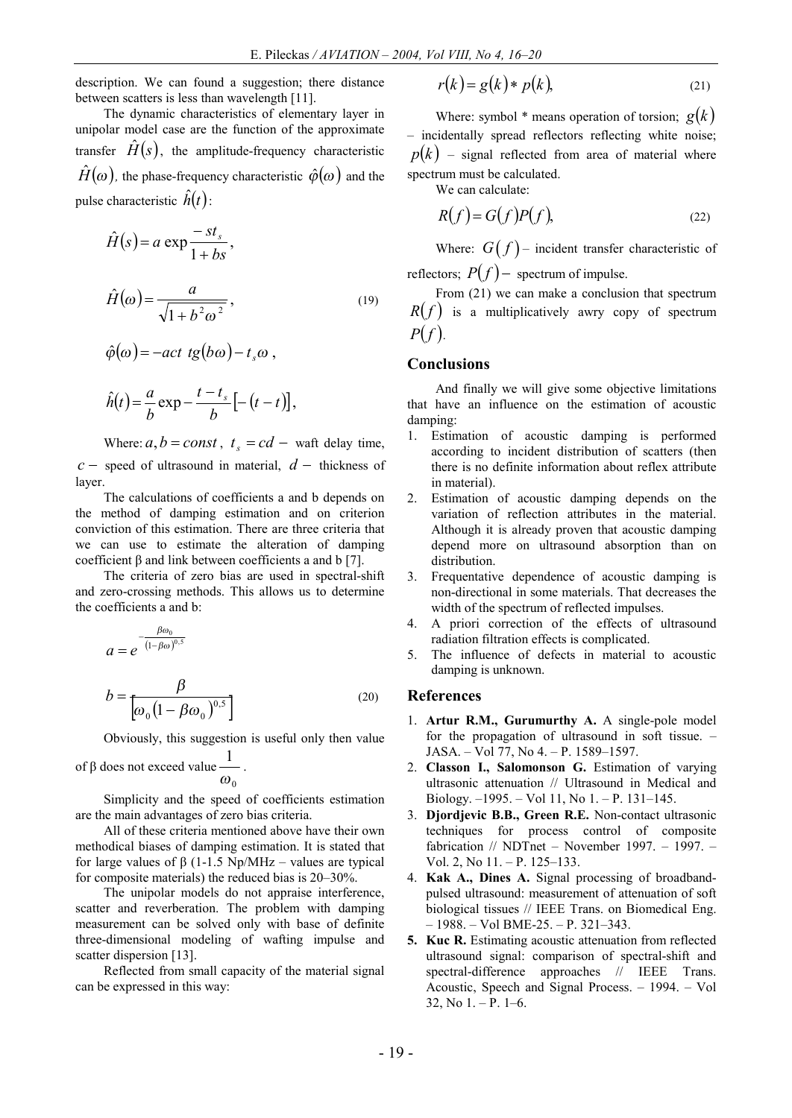description. We can found a suggestion; there distance between scatters is less than wavelength [11].

The dynamic characteristics of elementary layer in unipolar model case are the function of the approximate transfer  $\hat{H}(s)$ , the amplitude-frequency characteristic  $\hat{H}(\omega)$ , the phase-frequency characteristic  $\hat{\varphi}(\omega)$  and the pulse characteristic  $\hat{h}(t)$ :

$$
\hat{H}(s) = a \exp \frac{-st_s}{1 + bs},
$$
\n
$$
\hat{H}(\omega) = \frac{a}{\sqrt{1 + b^2 \omega^2}},
$$
\n(19)

$$
\hat{\varphi}(\omega) = -act \ t g(b\omega) - t_s \omega ,
$$

$$
\hat{h}(t) = \frac{a}{b} \exp{-\frac{t - t_s}{b}} \left[ -(t - t) \right],
$$

Where:  $a, b = const$ ,  $t_s = cd -$  waft delay time,  $c$  - speed of ultrasound in material,  $d$  - thickness of layer.

The calculations of coefficients a and b depends on the method of damping estimation and on criterion conviction of this estimation. There are three criteria that we can use to estimate the alteration of damping coefficient β and link between coefficients a and b [7].

The criteria of zero bias are used in spectral-shift and zero-crossing methods. This allows us to determine the coefficients a and b:

$$
a = e^{-\frac{\beta \omega_0}{(1 - \beta \omega)^{0.5}}}
$$

$$
b = \frac{\beta}{\left[\omega_0 \left(1 - \beta \omega_0\right)^{0.5}\right]}
$$
(20)

Obviously, this suggestion is useful only then value

of 
$$
\beta
$$
 does not exceed value  $\frac{1}{\omega_0}$ .

Simplicity and the speed of coefficients estimation are the main advantages of zero bias criteria.

All of these criteria mentioned above have their own methodical biases of damping estimation. It is stated that for large values of β (1-1.5 Np/MHz – values are typical for composite materials) the reduced bias is 20–30%.

The unipolar models do not appraise interference, scatter and reverberation. The problem with damping measurement can be solved only with base of definite three-dimensional modeling of wafting impulse and scatter dispersion [13].

Reflected from small capacity of the material signal can be expressed in this way:

$$
r(k) = g(k) * p(k), \tag{21}
$$

Where: symbol  $*$  means operation of torsion;  $g(k)$ *–* incidentally spread reflectors reflecting white noise;  $p(k)$  – signal reflected from area of material where spectrum must be calculated.

We can calculate:

$$
R(f) = G(f)P(f),
$$
\n(22)

Where:  $G(f)$  – incident transfer characteristic of reflectors;  $P(f)$  – spectrum of impulse.

From (21) we can make a conclusion that spectrum  $R(f)$  is a multiplicatively awry copy of spectrum  $P(f)$ .

## **Conclusions**

And finally we will give some objective limitations that have an influence on the estimation of acoustic damping:

- 1. Estimation of acoustic damping is performed according to incident distribution of scatters (then there is no definite information about reflex attribute in material).
- 2. Estimation of acoustic damping depends on the variation of reflection attributes in the material. Although it is already proven that acoustic damping depend more on ultrasound absorption than on distribution.
- 3. Frequentative dependence of acoustic damping is non-directional in some materials. That decreases the width of the spectrum of reflected impulses.
- 4. A priori correction of the effects of ultrasound radiation filtration effects is complicated.
- 5. The influence of defects in material to acoustic damping is unknown.

## **References**

- 1. **Artur R.M., Gurumurthy A.** A single-pole model for the propagation of ultrasound in soft tissue. – JASA. – Vol 77, No 4. – P. 1589–1597.
- 2. **Classon I., Salomonson G.** Estimation of varying ultrasonic attenuation // Ultrasound in Medical and Biology. –1995. – Vol 11, No 1. – P. 131–145.
- 3. **Djordjevic B.B., Green R.E.** Non-contact ultrasonic techniques for process control of composite fabrication // NDTnet – November 1997. – 1997. – Vol. 2, No 11. – P. 125–133.
- 4. **Kak A., Dines A.** Signal processing of broadbandpulsed ultrasound: measurement of attenuation of soft biological tissues // IEEE Trans. on Biomedical Eng. – 1988. – Vol BME-25. – P. 321–343.
- **5. Kuc R.** Estimating acoustic attenuation from reflected ultrasound signal: comparison of spectral-shift and spectral-difference approaches // IEEE Trans. Acoustic, Speech and Signal Process. – 1994. – Vol  $32$ , No  $1 - P$ .  $1 - 6$ .